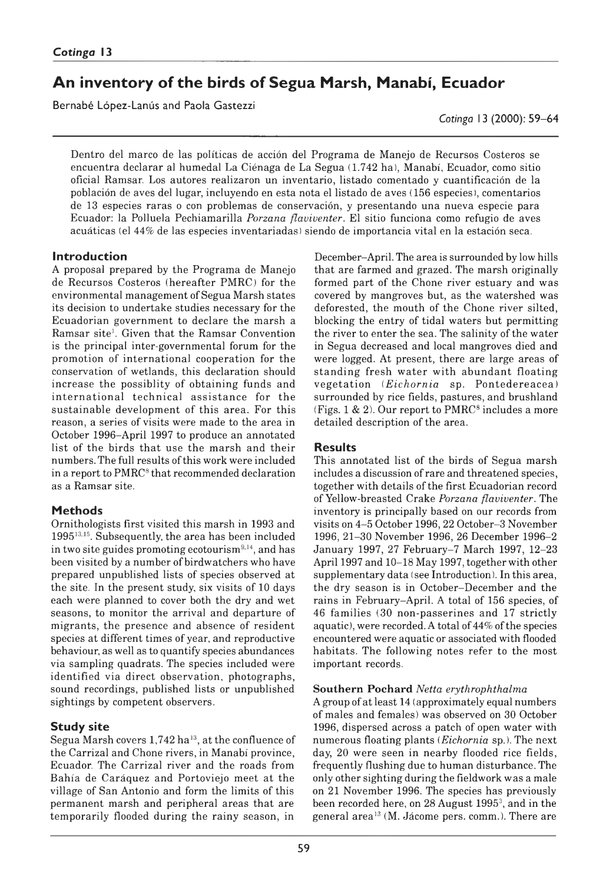# **An inventory of the birds of Segua Marsh, Manabí, Ecuador**

Bernabé López-Lanús and Paola Gastezzi

*Cotinga* 13 (2000): 59–64

Dentro del marco de las políticas de acción del Programa de Manejo de Recursos Costeros se encuentra declarar al humedal La Ciénaga de La Segua (1742 ha), Manabí, Ecuador, como sitio oficial Ramsar. Los autores realizaron un inventario, listado comentado y cuantificación de la población de aves del lugar, incluyendo en esta nota el listado de aves ( 156 especies ), comentarios de 13 especies raras o con problemas de conservación, y presentando una nueva especie para Ecuador: la Polluela Pechiamarilla *Porzana flaviventer.* El sitio funciona como refugio de aves acuáticas (el 44% de las especies inventariadas) siendo de importancia vital en la estación seca.

# **Introduction**

A proposal prepared by the Programa de Manejo de Recursos Costeros (hereafter PMRC) for the environmental management of Segua Marsh states its decision to undertake studies necessary for the Ecuadorian government to declare the marsh a Ramsar site<sup>1</sup>. Given that the Ramsar Convention is the principal inter-governmental forum for the promotion of international cooperation for the conservation of wetlands, this declaration should increase the possibility of obtaining funds and international technical assistance for the sustainable development of this area. For this reason, a series of visits were made to the area in October 1996–April 1997 to produce an annotated list of the birds that use the marsh and their numbers. The full results of this work were included in a report to PMRC<sup>8</sup> that recommended declaration as a Ramsar site.

# **Methods**

Ornithologists first visited this marsh in 1993 and 199513,15. Subsequently, the area has been included in two site guides promoting ecotourism<sup>9,14</sup>, and has been visited by a number of birdwatchers who have prepared unpublished lists of species observed at the site. In the present study, six visits of 10 days each were planned to cover both the dry and wet seasons, to monitor the arrival and departure of migrants, the presence and absence of resident species at different times of year, and reproductive behaviour, as well as to quantify species abundances via sampling quadrats. The species included were identified via direct observation, photographs, sound recordings, published lists or unpublished sightings by competent observers.

# **Study site**

Segua Marsh covers 1,742 ha<sup>13</sup>, at the confluence of the Carrizal and Chone rivers, in Manabi province, Ecuador. The Carrizal river and the roads from Bahía de Caráquez and Portoviejo meet at the village of San Antonio and form the limits of this permanent marsh and peripheral areas that are temporarily flooded during the rainy season, in

December–April. The area is surrounded by low hills that are farmed and grazed. The marsh originally formed part of the Chone river estuary and was covered by mangroves but, as the watershed was deforested, the mouth of the Chone river silted, blocking the entry of tidal waters but permitting the river to enter the sea. The salinity of the water in Segua decreased and local mangroves died and were logged. At present, there are large areas of standing fresh water with abundant floating vegetation (*Eichornia* sp. Pontedereacea) surrounded by rice fields, pastures, and brushland (Figs. 1  $\&$  2). Our report to PMRC<sup>8</sup> includes a more detailed description of the area.

# **Results**

This annotated list of the birds of Segua marsh includes a discussion of rare and threatened species, together with details of the first Ecuadorian record of Yellow-breasted Crake *Porzana flaviventer.* The inventory is principally based on our records from visits on 4–5 October 1996, 22 October–3 November 1996, 21–30 November 1996, 26 December 1996–2 January 1997, 27 February–7 March 1997, 12–23 April 1997 and 10–18 May 1997, together with other supplementary data (see Introduction). In this area, the dry season is in October-December and the rains in February–April. A total of 156 species, of 46 families (30 non-passerines and 17 strictly aquatic), were recorded. A total of 44% of the species encountered were aquatic or associated with flooded habitats. The following notes refer to the most important records.

# **Southern Pochard** *Netta erythrophthalma*

A group of at least 14 (approximately equal numbers of males and females) was observed on 30 October 1996, dispersed across a patch of open water with numerous floating plants (*Eichornia* sp.). The next day, 20 were seen in nearby flooded rice fields, frequently flushing due to human disturbance. The only other sighting during the fieldwork was a male on 21 November 1996. The species has previously been recorded here, on 28 August 19953, and in the general area13 (M. Jácome pers. comm.). There are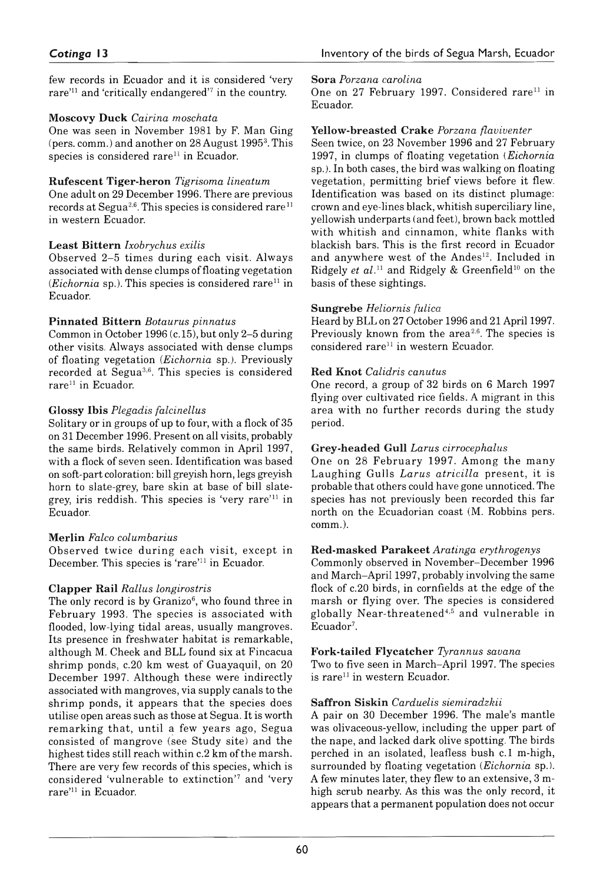few records in Ecuador and it is considered 'very rare'11 and 'critically endangered'7 in the country.

# **Muscovy Duck** *Cairina moschata*

One was seen in November 1981 by F. Man Ging (pers. comm.) and another on 28 August 1995<sup>3</sup>. This species is considered rare<sup>11</sup> in Ecuador.

# **Rufescent Tiger-Heron** *Tigrisoma lineatum*

One adult on 29 December 1996. There are previous records at Segua<sup>2,6</sup>. This species is considered rare<sup>11</sup> in western Ecuador.

# **Least Bittern** *Ixobrychus exilis*

Observed 2–5 times during each visit. Always associated with dense clumps of floating vegetation  $(Eichornia)$ . This species is considered rare<sup>11</sup> in Ecuador.

# **Pinnated Bittern** *Botaurus pinnatus*

Common in October 1996 (c. 15), but only 2–5 during other visits. Always associated with dense clumps of floating vegetation (*Eichornia* sp.). Previously recorded at Segua3,6. This species is considered rare<sup>11</sup> in Ecuador.

# **Glossy Ibis** *Plegadis falcinellus*

Solitary or in groups of up to four, with a flock of 35 on 31 December 1996. Present on all visits, probably the same birds. Relatively common in April 1997, with a flock of seven seen. Identification was based on soft-part coloration: bill greyish horn, legs greyish horn to slate-grey, bare skin at base of bill slategrey, iris reddish. This species is 'very rare'11 in Ecuador.

# **Merlin** *Falco columbarius*

Observed twice during each visit, except in December. This species is 'rare'11 in Ecuador.

# **Clapper Rail** *Rallus longirostris*

The only record is by Granizo $6$ , who found three in February 1993. The species is associated with flooded, low-lying tidal areas, usually mangroves. Its presence in freshwater habitat is remarkable, although M. Cheek and BLL found six at Fincacua shrimp ponds, c. 20 km west of Guayaquil, on 20 December 1997. Although these were indirectly associated with mangroves, via supply canals to the shrimp ponds, it appears that the species does utilise open areas such as those at Segua. It is worth rem arking that, until a few years ago, Segua consisted of mangrove (see Study site) and the highest tides still reach within c.2 km of the marsh. There are very few records of this species, which is considered 'vulnerable to extinction'7 and 'very rare'11 in Ecuador.

### **Sora** *Porzana carolina*

One on 27 February 1997. Considered rare<sup>11</sup> in Ecuador.

# **Yellow-breasted Crake** *Porzana flaviventer*

Seen twice, on 23 November 1996 and 27 February 1997, in clumps of floating vegetation (*Eichornia* sp.). In both cases, the bird was walking on floating vegetation, permitting brief views before it flew. Identification was based on its distinct plumage: crown and eye-lines black, whitish superciliary line, yellowish underparts (and feet), brown back mottled with whitish and cinnamon, white flanks with blackish bars. This is the first record in Ecuador and anywhere west of the Andes<sup>12</sup>. Included in Ridgely *et al.*<sup>11</sup> and Ridgely & Greenfield<sup>10</sup> on the basis of these sightings.

# **Sungrebe** *Heliornis fulica*

Heard by BLL on 27 October 1996 and 21 April 1997. Previously known from the area<sup>2,6</sup>. The species is considered rare<sup>11</sup> in western Ecuador.

# **Red Knot** *Calidris canutus*

One record, a group of 32 birds on 6 March 1997 flying over cultivated rice fields. A migrant in this area with no further records during the study period.

# **Grey-headed Gull** *Larus cirrocephalus*

One on 28 February 1997. Among the many Laughing Gulls *Larus atricilla* present, it is probable that others could have gone unnoticed. The species has not previously been recorded this far north on the Ecuadorian coast (M. Robbins pers. comm.).

# **Red-masked Parakeet** *Aratinga erythrogenys*

Commonly observed in November–December 1996 and March–April 1997, probably involving the same flock of c. 20 birds, in cornfields at the edge of the marsh or flying over. The species is considered globally Near-threatened<sup>4,5</sup> and vulnerable in Ecuador<sup>7</sup>.

# **Fork-tailed Flycatcher** *Tyrannus savana*

Two to five seen in March-April 1997. The species is rare<sup>11</sup> in western Ecuador.

# **Saffron Siskin** *Carduelis siemiradzkii*

A pair on 30 December 1996. The male's mantle was olivaceous-yellow, including the upper part of the nape, and lacked dark olive spotting. The birds perched in an isolated, leafless bush c. 1 m high, surrounded by floating vegetation (*Eichornia* sp.). A few minutes later, they flew to an extensive, 3-mhigh scrub nearby. As this was the only record, it appears that a permanent population does not occur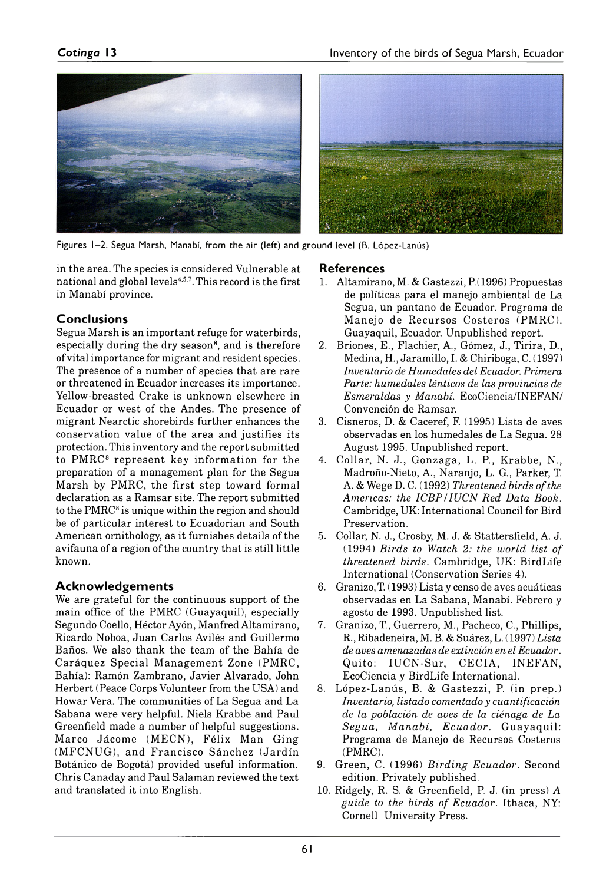

Figures 1-2. Segua Marsh, Manabí, from the air (left) and ground level (B. López-Lanús)

in the area. The species is considered Vulnerable at national and global levels<sup>4,5,7</sup>. This record is the first in Manabi province.

# **Conclusions**

Segua Marsh is an important refuge for waterbirds, especially during the dry season<sup>8</sup>, and is therefore of vital importance for migrant and resident species. The presence of a number of species that are rare or threatened in Ecuador increases its importance. Yellow-breasted Crake is unknown elsewhere in Ecuador or west of the Andes. The presence of migrant Nearctic shorebirds further enhances the conservation value of the area and justifies its protection. This inventory and the report submitted to PMRC8 represent key information for the preparation of a management plan for the Segua Marsh by PMRC, the first step toward formal declaration as a Ramsar site. The report submitted to the PMRC<sup>8</sup> is unique within the region and should be of particular interest to Ecuadorian and South American ornithology, as it furnishes details of the avifauna of a region of the country that is still little known.

# **A cknow ledgem ents**

We are grateful for the continuous support of the main office of the PMRC (Guayaquil), especially Segundo Coello, Héctor Ayón, Manfred Altamirano, Ricardo Noboa, Juan Carlos Avilés and Guillermo Baños. We also thank the team of the Bahía de Caráquez Special Management Zone (PMRC, Bahía): Ramón Zambrano, Javier Alvarado, John Herbert (Peace Corps Volunteer from the USA) and Howar Vera. The communities of La Segua and La Sabana were very helpful. Niels Krabbe and Paul Greenfield made a number of helpful suggestions. Marco Jácome (MECN), Félix Man Ging (MFCNUG), and Francisco Sánchez (Jardín Botánico de Bogotá) provided useful information. Chris Canaday and Paul Salaman reviewed the text and translated it into English.

# **References**

- 1. Altamirano, M. & Gastezzi, P. (1996) Propuestas de políticas para el manejo ambiental de La Segua, un pantano de Ecuador. Programa de Manejo de Recursos Costeros (PMRC). Guayaquil, Ecuador. Unpublished report.
- 2. Briones, E., Flachier, A., Gómez, J., Tirira, D., Medina, H., Jaramillo, I. & Chiriboga, C. (1997) *Inventario de Humedales del Ecuador. Primera Parte: humedales lénticos de las provincias de Esmeraldas y Manabí.* EcoCiencia/INEFAN/ Convención de Ramsar.
- 3. Cisneros, D. & Caceref, F. (1995) Lista de aves observadas en los humedales de La Segua. 28 August 1995. Unpublished report.
- 4. Collar, N. J., Gonzaga, L. P., Krabbe, N., Madroño-Nieto, A., Naranjo, L. G., Parker, T. A. & Wege D. C. (1992) *Threatened birds of the Americas: the ICBP/IUCN Red Data Book.* Cambridge, UK: International Council for Bird Preservation.
- 5. Collar, N. J., Crosby, M. J. & Stattersfield, A. J. (1994) *Birds to Watch 2: the world list of threatened birds.* Cambridge, UK: BirdLife International (Conservation Series 4).
- 6. Granizo, T. ( 1993) Lista y censo de aves acuáticas observadas en La Sabana, Manabí. Febrero y agosto de 1993. Unpublished list.
- 7. Granizo, T, Guerrero, M., Pacheco, C., Phillips, R., Ribadeneira, M. B. & Suárez, L. (1997) *Lista de aves amenazadas de extinción en el Ecuador.* Quito: IUCN-Sur, CECIA, INEFAN, EcoCiencia y BirdLife International.
- 8. López-Lanús, B. & Gastezzi, P. (in prep.) *Inventario, listado comentado y cuantificación de la población de aves de la ciénaga de La Segua, Manabí, Ecuador.* Guayaquil: Programa de Manejo de Recursos Costeros (PMRC).
- 9. Green, C. (1996) *Birding Ecuador.* Second edition. Privately published.
- 10. Ridgely, R. S. & Greenfield, P. J. (in press) *A guide to the birds of Ecuador.* Ithaca, NY: Cornell University Press.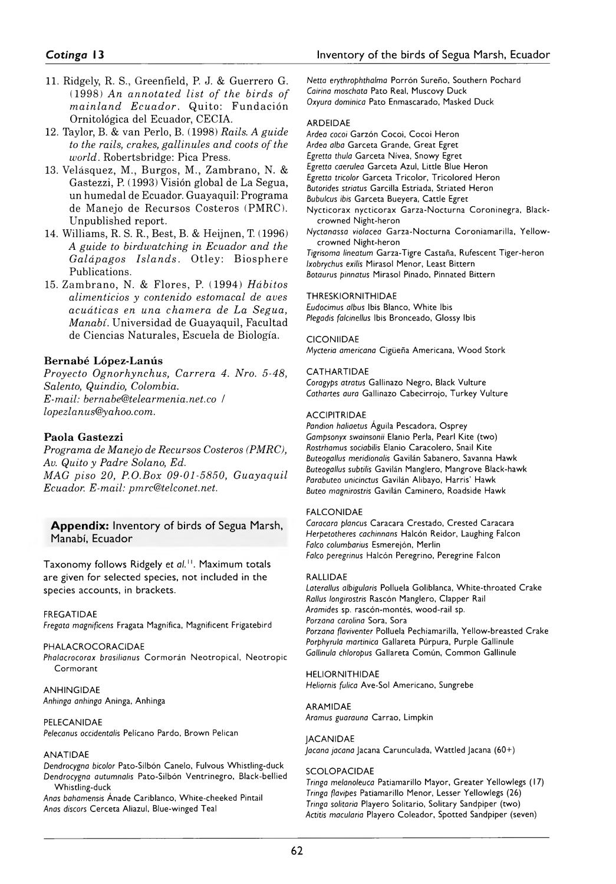- 11. Ridgely, R. S., Greenfield, P. J. & Guerrero G. (1998) *An annotated list of the birds of m ainland Ecuador.* Quito: Fundación Ornitológica del Ecuador, CECIA.
- 12. Taylor, B. & van Perlo, B. (1998) *Rails. A guide to the rails, crakes, gallinules and coots of the world.* Robertsbridge: Pica Press.
- 13. Velásquez, M., Burgos, M., Zambrano, N. & Gastezzi, P. (1993) Visión global de La Segua, un humedal de Ecuador. Guayaquil: Programa de Manejo de Recursos Costeros (PMRC). Unpublished report.
- 14. Williams, R. S. R., Best, B. & Heijnen, T. (1996) *A guide to birdwatching in Ecuador and the Galápagos Islands.* Otley: Biosphere Publications.
- 15. Zambrano, N. & Flores, P. (1994) *Hábitos alimenticios y contenido estomacal de aves acuáticas en una chaînera de La Segua, Manabí.* Universidad de Guayaquil, Facultad de Ciencias Naturales, Escuela de Biología.

### **Bernabé López-Lanús**

*Proyecto Ognorhynchus, Carrera 4. Nro. 5-48, Salento, Quindio, Colombia. E-mail: [bernabe@telearmenia.net.co](mailto:bernabe@telearmenia.net.co)* / *[lopezlanus@yahoo.com.](mailto:lopezlanus@yahoo.com)*

### **Paola Gastezzi**

*Programa de Manejo de Recursos Costeros (PMRC), Av. Quito y Padre Solano, Ed. MAC piso 20, P.O.Box 09-01-5850, Guayaquil Ecuador. E-mail: [pmrc@telconet.net.](mailto:pmrc@telconet.net)*

### **Appendix:** Inventory of birds of Segua Marsh, Manabí, Ecuador

Taxonomy follows Ridgely et al.<sup>11</sup>. Maximum totals are given for selected species, not included in the species accounts, in brackets.

### FREGATIDAE

*Fregata magnifícens* Fragata Magnífica, Magnificent Frigatebird

PHALA CROCORACIDAE Phalacrocorax brasilianus Cormorán Neotropical, Neotropic Cormorant

**ANHINGIDAE** *Anhinga anhinga* Aninga, Anhinga

### PELECANIDAE

*Pelecanus occidentalis* Pelícano Pardo, Brown Pelican

#### ANATIDAE

Dendrocygna bicolor Pato-Silbón Canelo, Fulvous Whistling-duck Dendrocygna autumnalis Pato-Silbón Ventrinegro, Black-bellied Whistling-duck

Anas bahamensis Ánade Cariblanco, White-cheeked Pintail Anas discors Cerceta Aliazul, Blue-winged Teal

Netta erythrophthalma Porrón Sureño, Southern Pochard *Catrina moschata* Pato Real, Muscovy Duck Oxyura dominica Pato Enmascarado, Masked Duck

### ARDEIDAE

Ardea cocoi Garzón Cocoi, Cocoi Heron Ardea alba Garceta Grande, Great Egret *Egretta thula* Garceta Nívea, Snowy Egret Egretta caerulea Garceta Azul, Little Blue Heron **Egretta tricolor Garceta Tricolor, Tricolored Heron Butorides striatus Garcilla Estriada, Striated Heron Bubulcus ibis Garceta Bueyera, Cattle Egret** Nycticorax nycticorax Garza-Nocturna Coroninegra, Blackcrowned Night-heron *Nyctanassa violacea Garza-Nocturna Coroniamarilla, Yellow-*

crowned Night-heron

*Tigrisoma lineatum* G arza-Tigre C astaña, R ufescent T iger-Heron *Ixobrychus exilis* Mirasol Menor, Least Bittern *Botaurus pinnatus* Mirasol Pinado, Pinnated Bittern

### THRESKIORNITHIDAE

*Eudocimus albus* Ibis Blanco, White Ibis Plegadis falcinellus Ibis Bronceado, Glossy Ibis

### **CICONIIDAE**

*Mycteria americana* Cigüeña Americana, Wood Stork

### CATHARTIDAE

Coragyps atratus Gallinazo Negro, Black Vulture Cathartes aura Gallinazo Cabecirrojo, Turkey Vulture

### ACCIPITRIDAE

Pandion haliaetus Águila Pescadora, Osprey Gampsonyx swainsonii Elanio Perla, Pearl Kite (two) Rostrhamus sociabilis Elanio Caracolero, Snail Kite *Buteogallus meridionalis* Gavilán Sabanero, Savanna Hawk Buteogallus subtilis Gavilán Manglero, Mangrove Black-hawk Parabuteo unicinctus Gavilán Alibayo, Harris' Hawk **Buteo magnirostris Gavilán Caminero, Roadside Hawk** 

### FALCONIDAE

Caracara plancus Caracara Crestado, Crested Caracara *Herpetotheres cachinnans* Halcón Reidor, Laughing Falcon Falco columbarius Esmerejón, Merlin *Falco peregrinus* Halcón Peregrino, Peregrine Falcon

### RALLIDAE

Laterallus albigularis Polluela Goliblanca, White-throated Crake *Rallus longirostris* Rascón Manglero, Clapper Rail *Aramides* sp. rascón-m ontés, w ood-rail sp. *Porzana carolina* Sora, Sora Porzana flaviventer Polluela Pechiamarilla, Yellow-breasted Crake Porphyrula martinica Gallareta Púrpura, Purple Gallinule Gallinula chloropus Gallareta Común, Common Gallinule

### HELIORNITHIDAE

Heliornis fulica Ave-Sol Americano, Sungrebe

### ARAMIDAE

Aramus guarauna Carrao, Limpkin

# **JACANIDAE**

*Jacana jacana* Jacana Carunculada, Wattled Jacana (60+)

### **SCOLOPACIDAE**

**Tringa melanoleuca Patiamarillo Mayor, Greater Yellowlegs (17) Tringa flavipes Patiamarillo Menor, Lesser Yellowlegs (26) Tringa solitaria Playero Solitario, Solitary Sandpiper (two)** *Actitis macularia* Playero C oleador, Spotted Sandpiper (seven)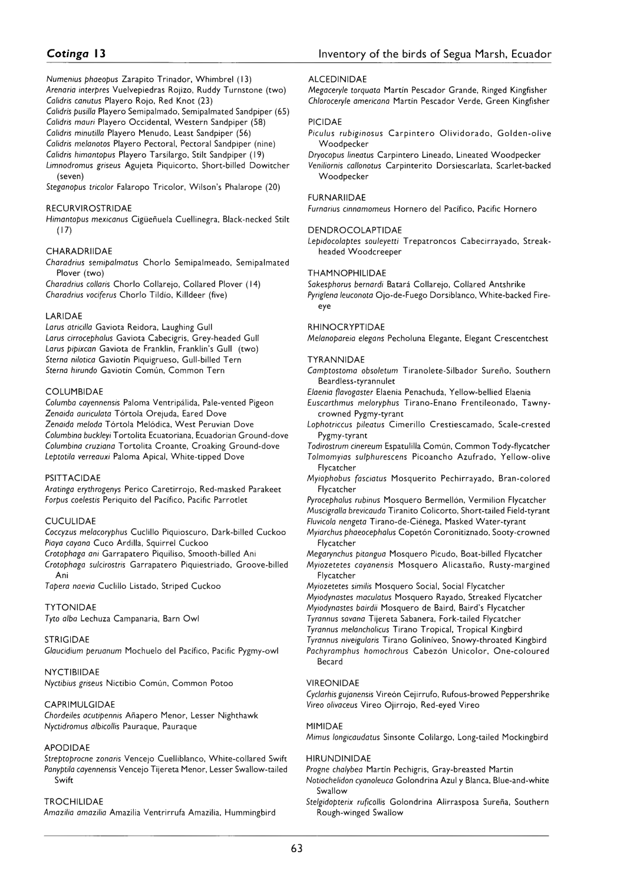*Numenius phaeopus* Zarapito Trinador, Whimbrel (13) *Arenaria interpres* Vuelvepiedras Rojizo, Ruddy Turnstone (two) *Calidris canutus* Playero Rojo, Red Knot (23)

*Calidas pusilla* Playero Semipalmado, Semipalmated Sandpiper (65) *Calidris mauri* Playero Occidental, Western Sandpiper (58) *Calidris minutilla* Playero Menudo, Least Sandpiper (56)

*Calidris melanotos* Playero Pectoral, Pectoral Sandpiper (nine)

*Calidris himantopus* Playero Tarsilargo, Stilt Sandpiper (19)

*Limnodromus griseus* Agujeta Piquicorto, Short-billed Dowitcher (seven)

*Steganopus tricolor* Falaropo Tricolor, Wilson's Phalarope (20)

#### RECURVIROSTRIDAE

*Himantopus mexicanus* Cigüeñuela Cuellinegra, Black-necked Stilt (17)

### CHARADRIIDAE

*Charadrius semipalmatus* Chorlo Semipalmeado, Semipalmated Plover (two)

*Charadrius collaris* Chorlo Collarejo, Collared Plover (14) *Charadrius vociferus* Chorlo Tildio, Killdeer (five)

### **LARIDAE**

*Larus atricilla* Gaviota Reidora, Laughing Gull *Larus cirrocephalus* Gaviota Cabecigris, Grey-headed Gull *Larus pipixcan* Gaviota de Franklin, Franklin's Gull (two) *Sterna nilotica* Gaviotin Piquigrueso, Gull-billed Tern *Sterna hirundo* Gaviotin Común, Common Tern

#### COLUMBIDAE

*Columba cayennensis* Paloma Ventripálida, Pale-vented Pigeon *Zenaida auriculata* Tórtola Orejuda, Eared Dove *Zenaida meloda* Tórtola Melódica, West Peruvian Dove Columbina buckleyi Tortolita Ecuatoriana, Ecuadorian Ground-dove *Columbina cruziana* Tortolita Croante, Croaking Ground-dove *Leptotila verreauxi* Paloma Apical, White-tipped Dove

#### PSITTACIDAE

*Aratinga erythrogenys* Perico Caretirrojo, Red-masked Parakeet *Forpus coelestis* Periquito del Pacífico, Pacific Parrotlet

### **CUCULIDAE**

*Coccyzus melacoryphus* Cuclillo Piquioscuro, Dark-billed Cuckoo *Piaya cayana* Cuco Ardilla, Squirrel Cuckoo

*Crotophaga ani* Garrapatero Piquiliso, Smooth-billed Ani *Crotophaga sulcirostris* Garrapatero Piquiestriado, Groove-billed Ani

*Tapera naevia* Cuclillo Listado, Striped Cuckoo

### TYTONIDAE

*Tyto alba* Lechuza Campanaria, Barn Owl

#### STRIGIDAE

*Glaucidium peruanum* Mochuelo del Pacífico, Pacific Pygmy-Owl

#### NYCTIBIIDAE

*Nyctibius griseus* Nictibio Común, Common Potoo

#### CAPRIMULGIDAE

*Chordeiles acutipennis* Añapero Menor, Lesser Nighthawk *Nyctidromus albicollis* Pauraque, Pauraque

#### **APODIDAE**

*Streptoprocne zonaris* Vencejo Cuelliblanco, White-collared Swift *Panyptila cayennensis* Vencejo Tijereta Menor, Lesser Swallow-tailed Swift

#### TROCHILIDAE

*Amazilia amazilia* Amazilia Ventrirrufa Amazilia, Hummingbird

#### ALCEDINIDAE

*Megaceryle torquata* Martín Pescador Grande, Ringed Kingfisher *Chloroceryle americana* Martín Pescador Verde, Green Kingfisher

#### PICIDAE

*Piculus rubiginosus* Carpintero Olividorado, Golden-olive Woodpecker

*Dryocopus lineatus* Carpintero Lineado, Lineated Woodpecker *Veniliornis callonotus* Carpinterito Dorsiescarlata, Scarlet-backed Woodpecker

#### FURNARIIDAE

*Furnarius cinnamomeus* Hornero del Pacífico, Pacific Hornero

#### DENDROCOLAPTIDAE

*Lepidocolaptes souleyetii* Trepatroncos Cabecirrayado, Streakheaded Woodcreeper

#### THAMNOPHILIDAE

*Sakesphorus bernardi* Batará Collarejo, Collared Antshrike *Pyriglena leuconota* Ojo-de-Fuego Dorsiblanco, White-backed Fireeye

#### RHINOCRYPTIDAE

*Melanopareia elegans* Pecholuna Elegante, Elegant Crescentchest

#### TYRANNIDAE

*Camptostoma obsoletum* Tiranolete-Silbador Sureño, Southern Beardless-tyrannulet

*Elaenia flavogaster* Elaenia Penachuda, Yellow-bellied Elaenia

- *Euscarthmus meloryphus* Tirano-Enano Frentileonado, Tawnycrowned Pygmy-tyrant
- *Lophotriccus pileatus* Cimerillo Crestiescamado, Scale-crested Pygmy-tyrant

*Todirostrum cinereum* Espatulilla Común, Common Tody-Flycatcher *Tolmomyias sulphurescens* Picoancho Azufrado, Yellow-olive Flycatcher

*Myiophobus fasciatus* Mosquerito Pechirrayado, Bran-colored Flycatcher

*Pyrocephalus rubinus* Mosquero Bermellón, Vermilion Flycatcher *Muscigralla brevicauda* Tiranito Colicorto, Short-tailed Field-Tyrant

- *Fluvicola nengeta* Tirano-de-Ciénega, Masked Water-tyrant
- *Myiarchus phaeocephalus* Copetón Coronitiznado, Sooty-crowned Flycatcher
- *Megarynchus pitangua* Mosquero Picudo, Boat-billed Flycatcher
- *Myiozetetes cayanensis* Mosquero Alicastaño, Rusty-margined Flycatcher

*Myiozetetes similis* Mosquero Social, Social Flycatcher *Myiodynastes maculatus* Mosquero Rayado, Streaked Flycatcher *Myiodynastes bairdii* Mosquero de Baird, Baird's Flycatcher *Tyrannus savana* Tijereta Sabanera, Fork-tailed Flycatcher *Tyrannus melancholicus* Tirano Tropical, Tropical Kingbird

*Tyrannus niveigularis* Tirano Goliníveo, Snowy-throated Kingbird *Pachyramphus homochrous* Cabezón Unicolor, One-coloured Becard

#### VIREONIDAE

*Cyclarhis gujanensis* Vireón Cejirrufo, Rufous-browed Peppershrike *Vireo olivaceus* Vireo Ojirrojo, Red-eyed Vireo

#### MIMIDAE

*Mimus longicaudatus* Sinsonte Colilargo, Long-tailed Mockingbird

### HIRUNDINIDAE

*Progne chalybea* Martin Pechigris, Gray-breasted Martin

- *Notiochelidon cyanoleuca* Golondrina Azul y Blanca, Blue-and-white Swallow
- Stelgidopterix ruficollis Golondrina Alirrasposa Sureña, Southern Rough-winged Swallow